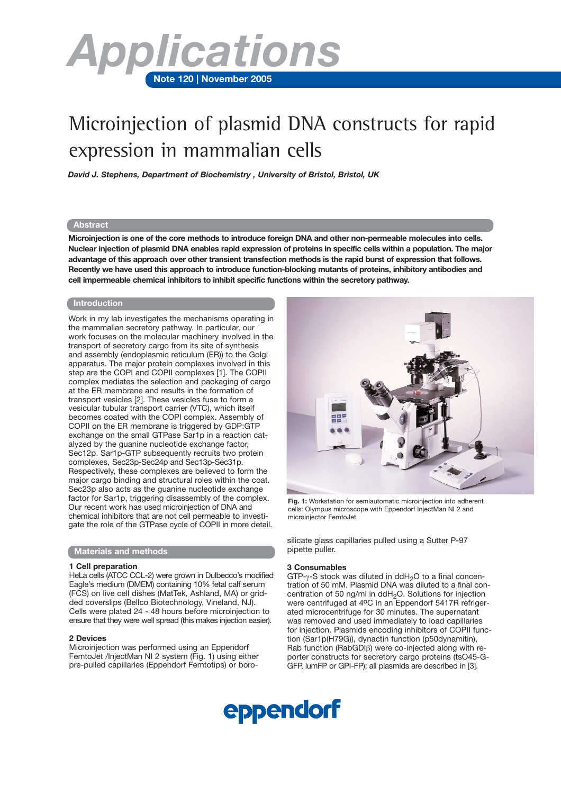# *Applications* **Note 120 | November 2005**

# Microinjection of plasmid DNA constructs for rapid expression in mammalian cells

*David J. Stephens, Department of Biochemistry , University of Bristol, Bristol, UK*

#### **Abstract**

**Microinjection is one of the core methods to introduce foreign DNA and other non-permeable molecules into cells. Nuclear injection of plasmid DNA enables rapid expression of proteins in specific cells within a population. The major advantage of this approach over other transient transfection methods is the rapid burst of expression that follows. Recently we have used this approach to introduce function-blocking mutants of proteins, inhibitory antibodies and cell impermeable chemical inhibitors to inhibit specific functions within the secretory pathway.**

### **Introduction**

Work in my lab investigates the mechanisms operating in the mammalian secretory pathway. In particular, our work focuses on the molecular machinery involved in the transport of secretory cargo from its site of synthesis and assembly (endoplasmic reticulum (ER)) to the Golgi apparatus. The major protein complexes involved in this step are the COPI and COPII complexes [1]. The COPII complex mediates the selection and packaging of cargo at the ER membrane and results in the formation of transport vesicles [2]. These vesicles fuse to form a vesicular tubular transport carrier (VTC), which itself becomes coated with the COPI complex. Assembly of COPII on the ER membrane is triggered by GDP:GTP exchange on the small GTPase Sar1p in a reaction catalyzed by the guanine nucleotide exchange factor, Sec12p. Sar1p-GTP subsequently recruits two protein complexes, Sec23p-Sec24p and Sec13p-Sec31p. Respectively, these complexes are believed to form the major cargo binding and structural roles within the coat. Sec23p also acts as the guanine nucleotide exchange factor for Sar1p, triggering disassembly of the complex. Our recent work has used microinjection of DNA and chemical inhibitors that are not cell permeable to investigate the role of the GTPase cycle of COPII in more detail.

#### **Materials and methods**

#### **1 Cell preparation**

HeLa cells (ATCC CCL-2) were grown in Dulbecco's modified Eagle's medium (DMEM) containing 10% fetal calf serum (FCS) on live cell dishes (MatTek, Ashland, MA) or gridded coverslips (Bellco Biotechnology, Vineland, NJ). Cells were plated 24 - 48 hours before microinjection to ensure that they were well spread (this makes injection easier).

#### **2 Devices**

Microinjection was performed using an Eppendorf FemtoJet /InjectMan NI 2 system (Fig. 1) using either pre-pulled capillaries (Eppendorf Femtotips) or boro-



**Fig. 1:** Workstation for semiautomatic microinjection into adherent cells: Olympus microscope with Eppendorf InjectMan NI 2 and microinjector FemtoJet

silicate glass capillaries pulled using a Sutter P-97 pipette puller.

#### **3 Consumables**

GTP- $\gamma$ -S stock was diluted in ddH<sub>2</sub>O to a final concentration of 50 mM. Plasmid DNA was diluted to a final concentration of 50 ng/ml in ddH<sub>2</sub>O. Solutions for injection were centrifuged at 4°C in an Eppendorf 5417R refrigerated microcentrifuge for 30 minutes. The supernatant was removed and used immediately to load capillaries for injection. Plasmids encoding inhibitors of COPII function (Sar1p(H79G)), dynactin function (p50dynamitin), Rab function (RabGDIβ) were co-injected along with reporter constructs for secretory cargo proteins (tsO45-G-GFP, lumFP or GPI-FP); all plasmids are described in [3].

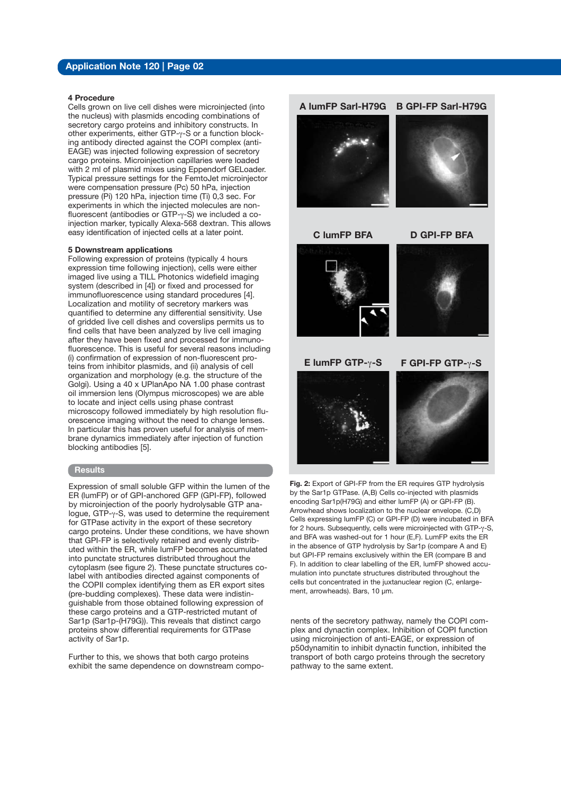# **Application Note 120 | Page 02**

#### **4 Procedure**

Cells grown on live cell dishes were microinjected (into the nucleus) with plasmids encoding combinations of secretory cargo proteins and inhibitory constructs. In other experiments, either GTP-γ-S or a function blocking antibody directed against the COPI complex (anti-EAGE) was injected following expression of secretory cargo proteins. Microinjection capillaries were loaded with 2 ml of plasmid mixes using Eppendorf GELoader. Typical pressure settings for the FemtoJet microinjector were compensation pressure (Pc) 50 hPa, injection pressure (Pi) 120 hPa, injection time (Ti) 0,3 sec. For experiments in which the injected molecules are nonfluorescent (antibodies or GTP-γ-S) we included a coinjection marker, typically Alexa-568 dextran. This allows easy identification of injected cells at a later point.

#### **5 Downstream applications**

Following expression of proteins (typically 4 hours expression time following injection), cells were either imaged live using a TILL Photonics widefield imaging system (described in [4]) or fixed and processed for immunofluorescence using standard procedures [4]. Localization and motility of secretory markers was quantified to determine any differential sensitivity. Use of gridded live cell dishes and coverslips permits us to find cells that have been analyzed by live cell imaging after they have been fixed and processed for immunofluorescence. This is useful for several reasons including (i) confirmation of expression of non-fluorescent proteins from inhibitor plasmids, and (ii) analysis of cell organization and morphology (e.g. the structure of the Golgi). Using a 40 x UPlanApo NA 1.00 phase contrast oil immersion lens (Olympus microscopes) we are able to locate and inject cells using phase contrast microscopy followed immediately by high resolution fluorescence imaging without the need to change lenses. In particular this has proven useful for analysis of membrane dynamics immediately after injection of function blocking antibodies [5].

# **Results**

Expression of small soluble GFP within the lumen of the ER (lumFP) or of GPI-anchored GFP (GPI-FP), followed by microinjection of the poorly hydrolysable GTP analogue, GTP-γ-S, was used to determine the requirement for GTPase activity in the export of these secretory cargo proteins. Under these conditions, we have shown that GPI-FP is selectively retained and evenly distributed within the ER, while lumFP becomes accumulated into punctate structures distributed throughout the cytoplasm (see figure 2). These punctate structures colabel with antibodies directed against components of the COPII complex identifying them as ER export sites (pre-budding complexes). These data were indistinguishable from those obtained following expression of these cargo proteins and a GTP-restricted mutant of Sar1p (Sar1p-(H79G)). This reveals that distinct cargo proteins show differential requirements for GTPase activity of Sar1p.

Further to this, we shows that both cargo proteins exhibit the same dependence on downstream compo-



by the Sar1p GTPase. (A,B) Cells co-injected with plasmids encoding Sar1p(H79G) and either lumFP (A) or GPI-FP (B). Arrowhead shows localization to the nuclear envelope. (C,D) Cells expressing lumFP (C) or GPI-FP (D) were incubated in BFA for 2 hours. Subsequently, cells were microinjected with GTP-γ-S, and BFA was washed-out for 1 hour (E,F). LumFP exits the ER in the absence of GTP hydrolysis by Sar1p (compare A and E) but GPI-FP remains exclusively within the ER (compare B and F). In addition to clear labelling of the ER, lumFP showed accumulation into punctate structures distributed throughout the cells but concentrated in the juxtanuclear region (C, enlargement, arrowheads). Bars, 10 µm.

nents of the secretory pathway, namely the COPI complex and dynactin complex. Inhibition of COPI function using microinjection of anti-EAGE, or expression of p50dynamitin to inhibit dynactin function, inhibited the transport of both cargo proteins through the secretory pathway to the same extent.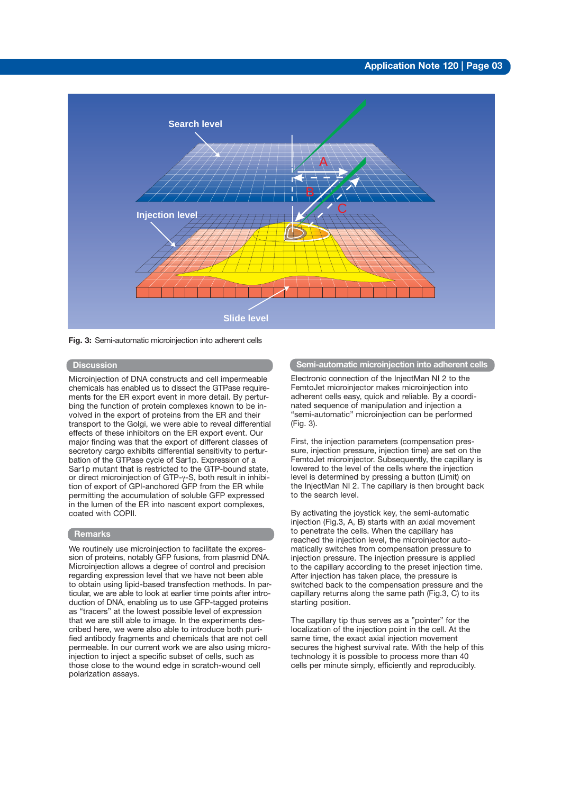# **Application Note 120 | Page 03**



**Fig. 3:** Semi-automatic microinjection into adherent cells

# **Discussion**

Microinjection of DNA constructs and cell impermeable chemicals has enabled us to dissect the GTPase requirements for the ER export event in more detail. By perturbing the function of protein complexes known to be involved in the export of proteins from the ER and their transport to the Golgi, we were able to reveal differential effects of these inhibitors on the ER export event. Our major finding was that the export of different classes of secretory cargo exhibits differential sensitivity to perturbation of the GTPase cycle of Sar1p. Expression of a Sar1p mutant that is restricted to the GTP-bound state, or direct microinjection of GTP-γ-S, both result in inhibition of export of GPI-anchored GFP from the ER while permitting the accumulation of soluble GFP expressed in the lumen of the ER into nascent export complexes, coated with COPII.

## **Remarks**

We routinely use microinjection to facilitate the expression of proteins, notably GFP fusions, from plasmid DNA. Microinjection allows a degree of control and precision regarding expression level that we have not been able to obtain using lipid-based transfection methods. In particular, we are able to look at earlier time points after introduction of DNA, enabling us to use GFP-tagged proteins as "tracers" at the lowest possible level of expression that we are still able to image. In the experiments described here, we were also able to introduce both purified antibody fragments and chemicals that are not cell permeable. In our current work we are also using microinjection to inject a specific subset of cells, such as those close to the wound edge in scratch-wound cell polarization assays.

#### **Semi-automatic microinjection into adherent cells**

Electronic connection of the InjectMan NI 2 to the FemtoJet microinjector makes microinjection into adherent cells easy, quick and reliable. By a coordinated sequence of manipulation and injection a "semi-automatic" microinjection can be performed (Fig. 3).

First, the injection parameters (compensation pressure, injection pressure, injection time) are set on the FemtoJet microinjector. Subsequently, the capillary is lowered to the level of the cells where the injection level is determined by pressing a button (Limit) on the InjectMan NI 2. The capillary is then brought back to the search level.

By activating the joystick key, the semi-automatic injection (Fig.3, A, B) starts with an axial movement to penetrate the cells. When the capillary has reached the injection level, the microinjector automatically switches from compensation pressure to injection pressure. The injection pressure is applied to the capillary according to the preset injection time. After injection has taken place, the pressure is switched back to the compensation pressure and the capillary returns along the same path (Fig.3, C) to its starting position.

The capillary tip thus serves as a "pointer" for the localization of the injection point in the cell. At the same time, the exact axial injection movement secures the highest survival rate. With the help of this technology it is possible to process more than 40 cells per minute simply, efficiently and reproducibly.